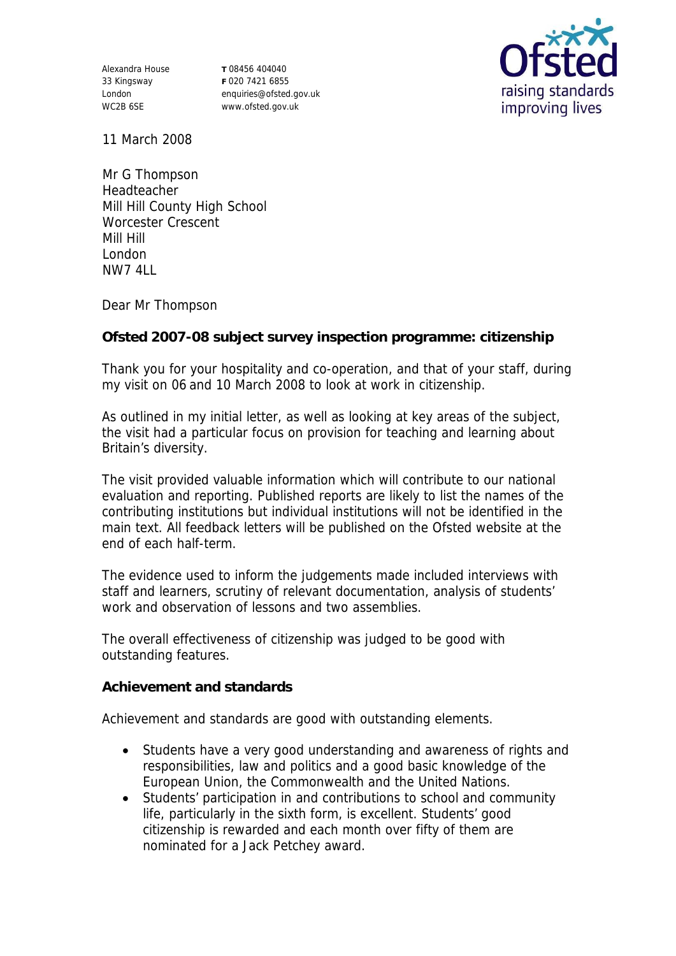Alexandra House 33 Kingsway London WC2B 6SE

**T** 08456 404040 **F** 020 7421 6855 enquiries@ofsted.gov.uk www.ofsted.gov.uk



11 March 2008

Mr G Thompson Headteacher Mill Hill County High School Worcester Crescent Mill Hill London NW7 4LL

Dear Mr Thompson

**Ofsted 2007-08 subject survey inspection programme: citizenship**

Thank you for your hospitality and co-operation, and that of your staff, during my visit on 06 and 10 March 2008 to look at work in citizenship.

As outlined in my initial letter, as well as looking at key areas of the subject, the visit had a particular focus on provision for teaching and learning about Britain's diversity.

The visit provided valuable information which will contribute to our national evaluation and reporting. Published reports are likely to list the names of the contributing institutions but individual institutions will not be identified in the main text. All feedback letters will be published on the Ofsted website at the end of each half-term.

The evidence used to inform the judgements made included interviews with staff and learners, scrutiny of relevant documentation, analysis of students' work and observation of lessons and two assemblies.

The overall effectiveness of citizenship was judged to be good with outstanding features.

**Achievement and standards** 

Achievement and standards are good with outstanding elements.

- Students have a very good understanding and awareness of rights and responsibilities, law and politics and a good basic knowledge of the European Union, the Commonwealth and the United Nations.
- Students' participation in and contributions to school and community life, particularly in the sixth form, is excellent. Students' good citizenship is rewarded and each month over fifty of them are nominated for a Jack Petchey award.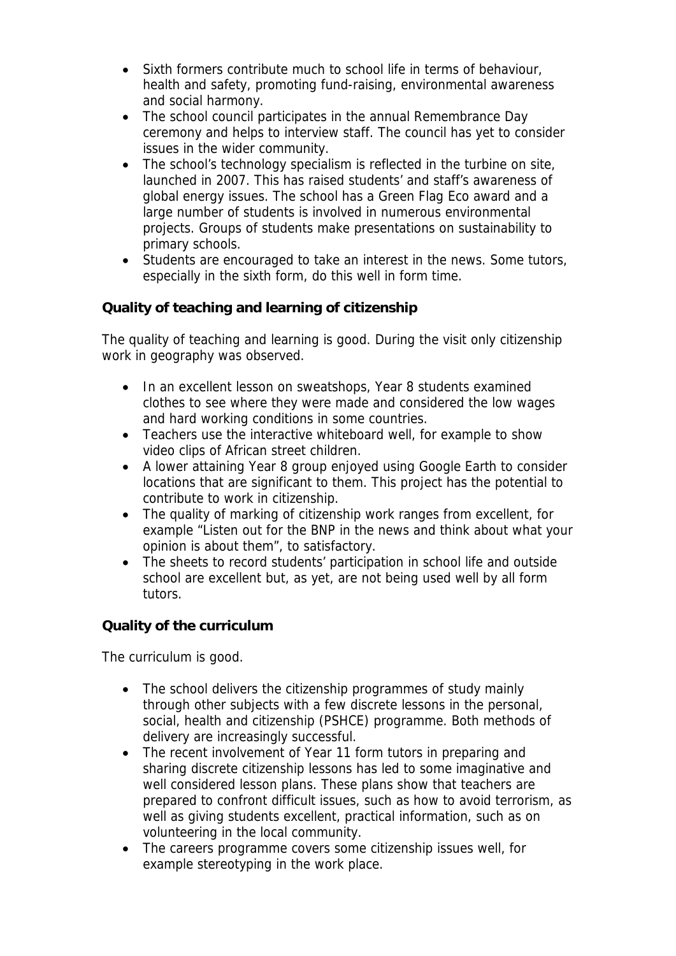- Sixth formers contribute much to school life in terms of behaviour, health and safety, promoting fund-raising, environmental awareness and social harmony.
- The school council participates in the annual Remembrance Day ceremony and helps to interview staff. The council has yet to consider issues in the wider community.
- The school's technology specialism is reflected in the turbine on site, launched in 2007. This has raised students' and staff's awareness of global energy issues. The school has a Green Flag Eco award and a large number of students is involved in numerous environmental projects. Groups of students make presentations on sustainability to primary schools.
- Students are encouraged to take an interest in the news. Some tutors, especially in the sixth form, do this well in form time.

## **Quality of teaching and learning of citizenship**

The quality of teaching and learning is good. During the visit only citizenship work in geography was observed.

- In an excellent lesson on sweatshops, Year 8 students examined clothes to see where they were made and considered the low wages and hard working conditions in some countries.
- Teachers use the interactive whiteboard well, for example to show video clips of African street children.
- A lower attaining Year 8 group enjoyed using Google Earth to consider locations that are significant to them. This project has the potential to contribute to work in citizenship.
- The quality of marking of citizenship work ranges from excellent, for example "Listen out for the BNP in the news and think about what your opinion is about them", to satisfactory.
- The sheets to record students' participation in school life and outside school are excellent but, as yet, are not being used well by all form tutors.

## **Quality of the curriculum**

The curriculum is good.

- The school delivers the citizenship programmes of study mainly through other subjects with a few discrete lessons in the personal, social, health and citizenship (PSHCE) programme. Both methods of delivery are increasingly successful.
- The recent involvement of Year 11 form tutors in preparing and sharing discrete citizenship lessons has led to some imaginative and well considered lesson plans. These plans show that teachers are prepared to confront difficult issues, such as how to avoid terrorism, as well as giving students excellent, practical information, such as on volunteering in the local community.
- The careers programme covers some citizenship issues well, for example stereotyping in the work place.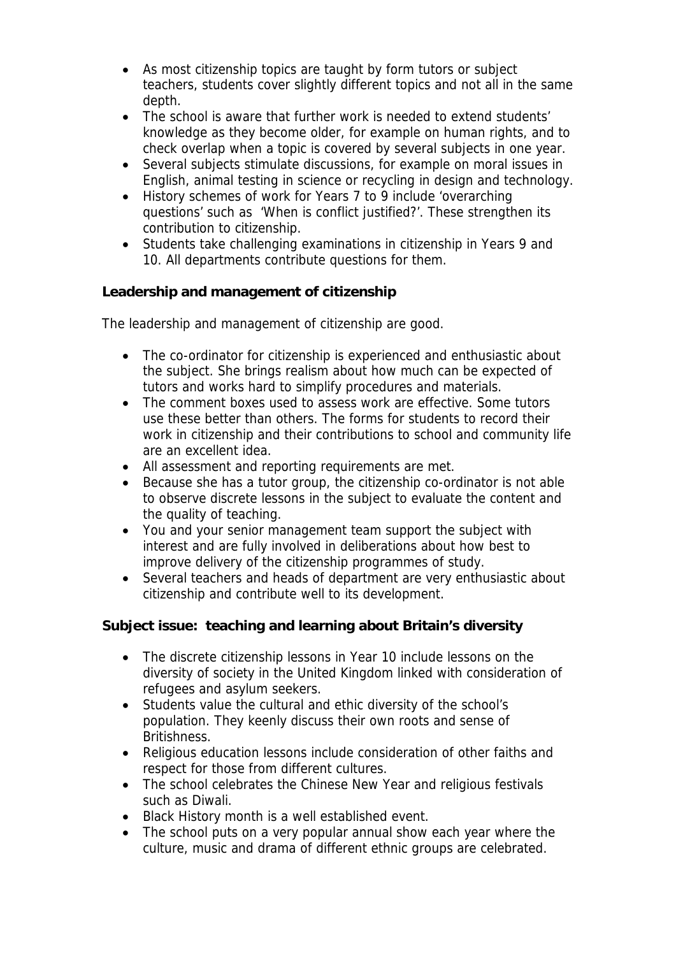- As most citizenship topics are taught by form tutors or subject teachers, students cover slightly different topics and not all in the same depth.
- The school is aware that further work is needed to extend students' knowledge as they become older, for example on human rights, and to check overlap when a topic is covered by several subjects in one year.
- Several subjects stimulate discussions, for example on moral issues in English, animal testing in science or recycling in design and technology.
- History schemes of work for Years 7 to 9 include 'overarching questions' such as 'When is conflict justified?'. These strengthen its contribution to citizenship.
- Students take challenging examinations in citizenship in Years 9 and 10. All departments contribute questions for them.

**Leadership and management of citizenship**

The leadership and management of citizenship are good.

- The co-ordinator for citizenship is experienced and enthusiastic about the subject. She brings realism about how much can be expected of tutors and works hard to simplify procedures and materials.
- The comment boxes used to assess work are effective. Some tutors use these better than others. The forms for students to record their work in citizenship and their contributions to school and community life are an excellent idea.
- All assessment and reporting requirements are met.
- Because she has a tutor group, the citizenship co-ordinator is not able to observe discrete lessons in the subject to evaluate the content and the quality of teaching.
- You and your senior management team support the subject with interest and are fully involved in deliberations about how best to improve delivery of the citizenship programmes of study.
- Several teachers and heads of department are very enthusiastic about citizenship and contribute well to its development.

**Subject issue: teaching and learning about Britain's diversity**

- The discrete citizenship lessons in Year 10 include lessons on the diversity of society in the United Kingdom linked with consideration of refugees and asylum seekers.
- Students value the cultural and ethic diversity of the school's population. They keenly discuss their own roots and sense of Britishness.
- Religious education lessons include consideration of other faiths and respect for those from different cultures.
- The school celebrates the Chinese New Year and religious festivals such as Diwali.
- Black History month is a well established event.
- The school puts on a very popular annual show each year where the culture, music and drama of different ethnic groups are celebrated.